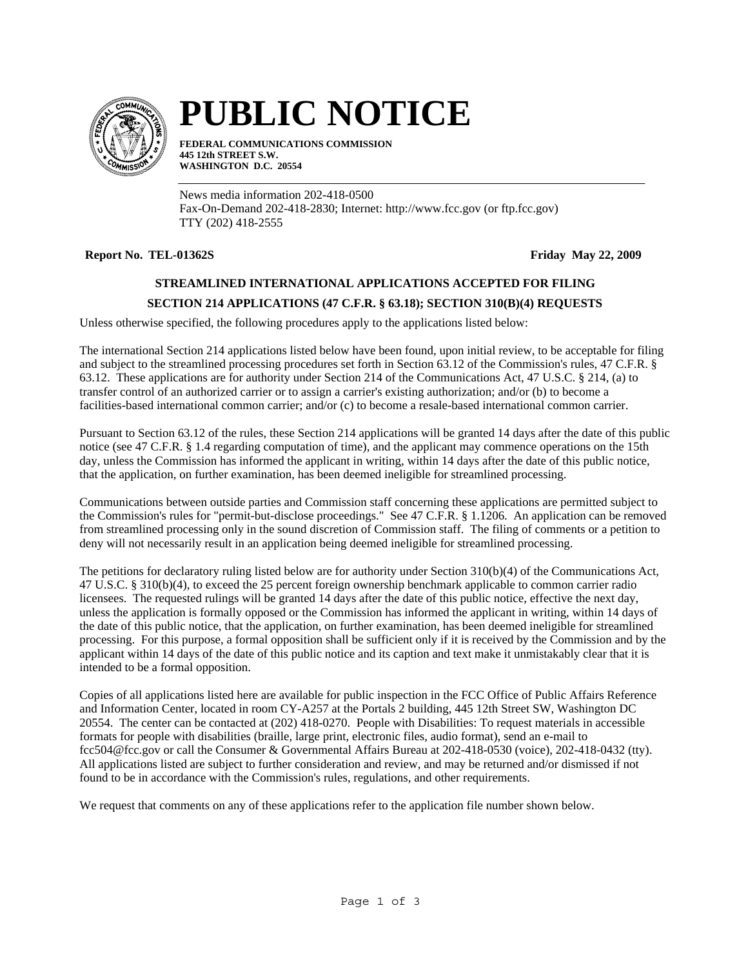

# **PUBLIC NOTICE**

**FEDERAL COMMUNICATIONS COMMISSION 445 12th STREET S.W. WASHINGTON D.C. 20554**

News media information 202-418-0500 Fax-On-Demand 202-418-2830; Internet: http://www.fcc.gov (or ftp.fcc.gov) TTY (202) 418-2555

## **Report No. TEL-01362S Friday May 22, 2009**

## **STREAMLINED INTERNATIONAL APPLICATIONS ACCEPTED FOR FILING**

## **SECTION 214 APPLICATIONS (47 C.F.R. § 63.18); SECTION 310(B)(4) REQUESTS**

Unless otherwise specified, the following procedures apply to the applications listed below:

The international Section 214 applications listed below have been found, upon initial review, to be acceptable for filing and subject to the streamlined processing procedures set forth in Section 63.12 of the Commission's rules, 47 C.F.R. § 63.12. These applications are for authority under Section 214 of the Communications Act, 47 U.S.C. § 214, (a) to transfer control of an authorized carrier or to assign a carrier's existing authorization; and/or (b) to become a facilities-based international common carrier; and/or (c) to become a resale-based international common carrier.

Pursuant to Section 63.12 of the rules, these Section 214 applications will be granted 14 days after the date of this public notice (see 47 C.F.R. § 1.4 regarding computation of time), and the applicant may commence operations on the 15th day, unless the Commission has informed the applicant in writing, within 14 days after the date of this public notice, that the application, on further examination, has been deemed ineligible for streamlined processing.

Communications between outside parties and Commission staff concerning these applications are permitted subject to the Commission's rules for "permit-but-disclose proceedings." See 47 C.F.R. § 1.1206. An application can be removed from streamlined processing only in the sound discretion of Commission staff. The filing of comments or a petition to deny will not necessarily result in an application being deemed ineligible for streamlined processing.

The petitions for declaratory ruling listed below are for authority under Section 310(b)(4) of the Communications Act, 47 U.S.C. § 310(b)(4), to exceed the 25 percent foreign ownership benchmark applicable to common carrier radio licensees. The requested rulings will be granted 14 days after the date of this public notice, effective the next day, unless the application is formally opposed or the Commission has informed the applicant in writing, within 14 days of the date of this public notice, that the application, on further examination, has been deemed ineligible for streamlined processing. For this purpose, a formal opposition shall be sufficient only if it is received by the Commission and by the applicant within 14 days of the date of this public notice and its caption and text make it unmistakably clear that it is intended to be a formal opposition.

Copies of all applications listed here are available for public inspection in the FCC Office of Public Affairs Reference and Information Center, located in room CY-A257 at the Portals 2 building, 445 12th Street SW, Washington DC 20554. The center can be contacted at (202) 418-0270. People with Disabilities: To request materials in accessible formats for people with disabilities (braille, large print, electronic files, audio format), send an e-mail to fcc504@fcc.gov or call the Consumer & Governmental Affairs Bureau at 202-418-0530 (voice), 202-418-0432 (tty). All applications listed are subject to further consideration and review, and may be returned and/or dismissed if not found to be in accordance with the Commission's rules, regulations, and other requirements.

We request that comments on any of these applications refer to the application file number shown below.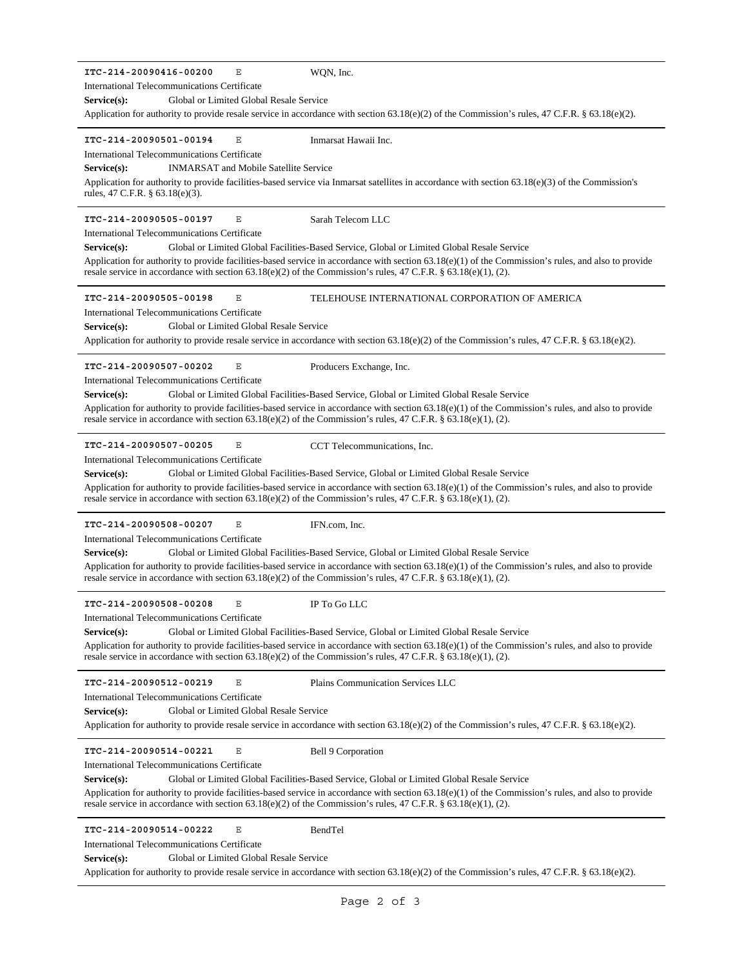**ITC-214-20090416-00200** E **Service(s):** Global or Limited Global Resale Service Application for authority to provide resale service in accordance with section 63.18(e)(2) of the Commission's rules, 47 C.F.R. § 63.18(e)(2). International Telecommunications Certificate WQN, Inc. **ITC-214-20090501-00194** E **Service(s):** INMARSAT and Mobile Satellite Service Application for authority to provide facilities-based service via Inmarsat satellites in accordance with section 63.18(e)(3) of the Commission's rules, 47 C.F.R. § 63.18(e)(3). International Telecommunications Certificate Inmarsat Hawaii Inc. **ITC-214-20090505-00197** E **Service(s):** Global or Limited Global Facilities-Based Service, Global or Limited Global Resale Service Application for authority to provide facilities-based service in accordance with section 63.18(e)(1) of the Commission's rules, and also to provide resale service in accordance with section 63.18(e)(2) of the Commission's rules, 47 C.F.R. § 63.18(e)(1), (2). International Telecommunications Certificate Sarah Telecom LLC **ITC-214-20090505-00198** E **Service(s):** Global or Limited Global Resale Service Application for authority to provide resale service in accordance with section 63.18(e)(2) of the Commission's rules, 47 C.F.R. § 63.18(e)(2). International Telecommunications Certificate TELEHOUSE INTERNATIONAL CORPORATION OF AMERICA **ITC-214-20090507-00202** E **Service(s):** Global or Limited Global Facilities-Based Service, Global or Limited Global Resale Service Application for authority to provide facilities-based service in accordance with section 63.18(e)(1) of the Commission's rules, and also to provide resale service in accordance with section  $63.18(e)(2)$  of the Commission's rules,  $47$  C.F.R. §  $63.18(e)(1)$ , (2). International Telecommunications Certificate Producers Exchange, Inc. **ITC-214-20090507-00205** E **Service(s):** Global or Limited Global Facilities-Based Service, Global or Limited Global Resale Service Application for authority to provide facilities-based service in accordance with section 63.18(e)(1) of the Commission's rules, and also to provide resale service in accordance with section 63.18(e)(2) of the Commission's rules, 47 C.F.R. § 63.18(e)(1), (2). International Telecommunications Certificate CCT Telecommunications, Inc. **ITC-214-20090508-00207** E **Service(s):** Global or Limited Global Facilities-Based Service, Global or Limited Global Resale Service Application for authority to provide facilities-based service in accordance with section 63.18(e)(1) of the Commission's rules, and also to provide resale service in accordance with section 63.18(e)(2) of the Commission's rules, 47 C.F.R. § 63.18(e)(1), (2). International Telecommunications Certificate IFN.com, Inc. **ITC-214-20090508-00208** E **Service(s):** Global or Limited Global Facilities-Based Service, Global or Limited Global Resale Service Application for authority to provide facilities-based service in accordance with section 63.18(e)(1) of the Commission's rules, and also to provide resale service in accordance with section  $63.18(e)(2)$  of the Commission's rules,  $47$  C.F.R. §  $63.18(e)(1)$ , (2). International Telecommunications Certificate IP To Go LLC **ITC-214-20090512-00219** E Service(s): Global or Limited Global Resale Service Application for authority to provide resale service in accordance with section 63.18(e)(2) of the Commission's rules, 47 C.F.R. § 63.18(e)(2). International Telecommunications Certificate Plains Communication Services LLC **ITC-214-20090514-00221** E **Service(s):** Global or Limited Global Facilities-Based Service, Global or Limited Global Resale Service Application for authority to provide facilities-based service in accordance with section 63.18(e)(1) of the Commission's rules, and also to provide resale service in accordance with section 63.18(e)(2) of the Commission's rules, 47 C.F.R. § 63.18(e)(1), (2). International Telecommunications Certificate Bell 9 Corporation **ITC-214-20090514-00222** E Service(s): Global or Limited Global Resale Service Application for authority to provide resale service in accordance with section 63.18(e)(2) of the Commission's rules, 47 C.F.R. § 63.18(e)(2). International Telecommunications Certificate BendTel